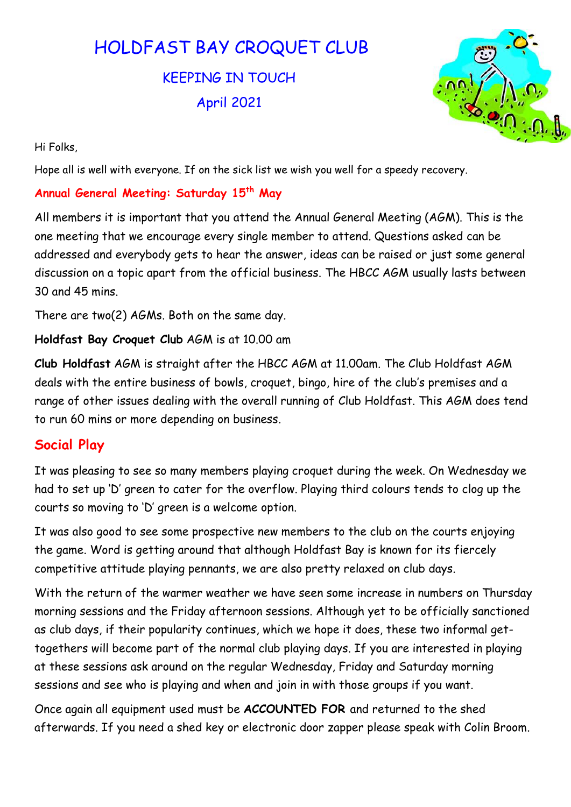# HOLDFAST BAY CROQUET CLUB

KEEPING IN TOUCH April 2021



Hi Folks,

Hope all is well with everyone. If on the sick list we wish you well for a speedy recovery.

## Annual General Meeting: Saturday 15<sup>th</sup> May

All members it is important that you attend the Annual General Meeting (AGM). This is the one meeting that we encourage every single member to attend. Questions asked can be addressed and everybody gets to hear the answer, ideas can be raised or just some general discussion on a topic apart from the official business. The HBCC AGM usually lasts between 30 and 45 mins.

There are two(2) AGMs. Both on the same day.

Holdfast Bay Croquet Club AGM is at 10.00 am

Club Holdfast AGM is straight after the HBCC AGM at 11.00am. The Club Holdfast AGM deals with the entire business of bowls, croquet, bingo, hire of the club's premises and a range of other issues dealing with the overall running of Club Holdfast. This AGM does tend to run 60 mins or more depending on business.

# Social Play

It was pleasing to see so many members playing croquet during the week. On Wednesday we had to set up 'D' green to cater for the overflow. Playing third colours tends to clog up the courts so moving to 'D' green is a welcome option.

It was also good to see some prospective new members to the club on the courts enjoying the game. Word is getting around that although Holdfast Bay is known for its fiercely competitive attitude playing pennants, we are also pretty relaxed on club days.

With the return of the warmer weather we have seen some increase in numbers on Thursday morning sessions and the Friday afternoon sessions. Although yet to be officially sanctioned as club days, if their popularity continues, which we hope it does, these two informal gettogethers will become part of the normal club playing days. If you are interested in playing at these sessions ask around on the regular Wednesday, Friday and Saturday morning sessions and see who is playing and when and join in with those groups if you want.

Once again all equipment used must be ACCOUNTED FOR and returned to the shed afterwards. If you need a shed key or electronic door zapper please speak with Colin Broom.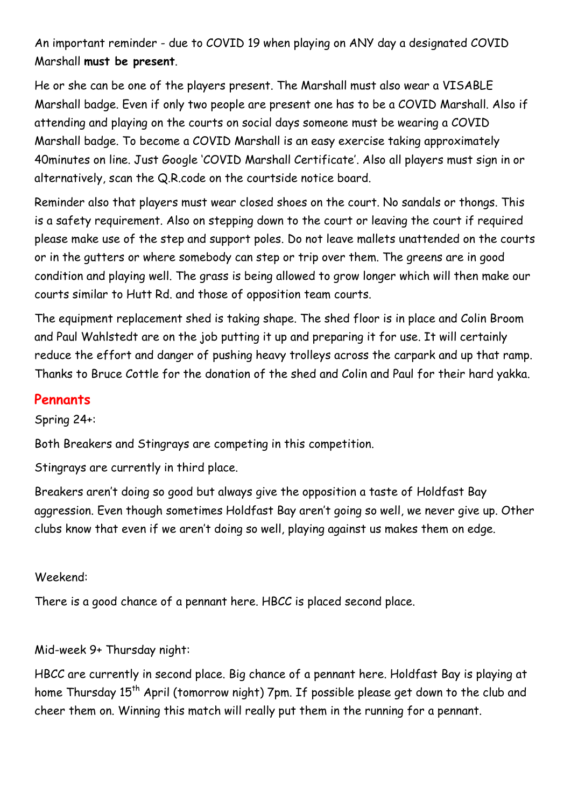An important reminder - due to COVID 19 when playing on ANY day a designated COVID Marshall must be present.

He or she can be one of the players present. The Marshall must also wear a VISABLE Marshall badge. Even if only two people are present one has to be a COVID Marshall. Also if attending and playing on the courts on social days someone must be wearing a COVID Marshall badge. To become a COVID Marshall is an easy exercise taking approximately 40minutes on line. Just Google 'COVID Marshall Certificate'. Also all players must sign in or alternatively, scan the Q.R.code on the courtside notice board.

Reminder also that players must wear closed shoes on the court. No sandals or thongs. This is a safety requirement. Also on stepping down to the court or leaving the court if required please make use of the step and support poles. Do not leave mallets unattended on the courts or in the gutters or where somebody can step or trip over them. The greens are in good condition and playing well. The grass is being allowed to grow longer which will then make our courts similar to Hutt Rd. and those of opposition team courts.

The equipment replacement shed is taking shape. The shed floor is in place and Colin Broom and Paul Wahlstedt are on the job putting it up and preparing it for use. It will certainly reduce the effort and danger of pushing heavy trolleys across the carpark and up that ramp. Thanks to Bruce Cottle for the donation of the shed and Colin and Paul for their hard yakka.

## **Pennants**

Spring 24+:

Both Breakers and Stingrays are competing in this competition.

Stingrays are currently in third place.

Breakers aren't doing so good but always give the opposition a taste of Holdfast Bay aggression. Even though sometimes Holdfast Bay aren't going so well, we never give up. Other clubs know that even if we aren't doing so well, playing against us makes them on edge.

#### Weekend:

There is a good chance of a pennant here. HBCC is placed second place.

#### Mid-week 9+ Thursday night:

HBCC are currently in second place. Big chance of a pennant here. Holdfast Bay is playing at home Thursday 15<sup>th</sup> April (tomorrow night) 7pm. If possible please get down to the club and cheer them on. Winning this match will really put them in the running for a pennant.